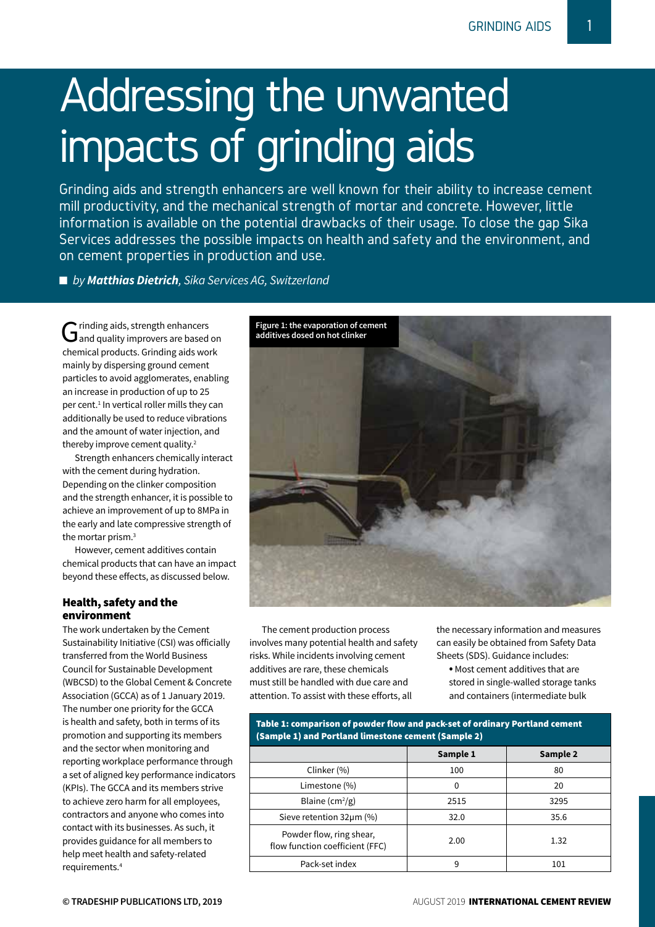# Addressing the unwanted impacts of grinding aids

Grinding aids and strength enhancers are well known for their ability to increase cement mill productivity, and the mechanical strength of mortar and concrete. However, little information is available on the potential drawbacks of their usage. To close the gap Sika Services addresses the possible impacts on health and safety and the environment, and on cement properties in production and use.

■ *by Matthias Dietrich*, *Sika Services AG*, *Switzerland* 

Grinding aids, strength enhancers<br> **G** and quality improvers are based on chemical products. Grinding aids work mainly by dispersing ground cement particles to avoid agglomerates, enabling an increase in production of up to 25 per cent.<sup>1</sup> In vertical roller mills they can additionally be used to reduce vibrations and the amount of water injection, and thereby improve cement quality.<sup>2</sup>

Strength enhancers chemically interact with the cement during hydration. Depending on the clinker composition and the strength enhancer, it is possible to achieve an improvement of up to 8MPa in the early and late compressive strength of the mortar prism.3

However, cement additives contain chemical products that can have an impact beyond these effects, as discussed below.

# Health, safety and the environment

The work undertaken by the Cement Sustainability Initiative (CSI) was officially transferred from the World Business Council for Sustainable Development (WBCSD) to the Global Cement & Concrete Association (GCCA) as of 1 January 2019. The number one priority for the GCCA is health and safety, both in terms of its promotion and supporting its members and the sector when monitoring and reporting workplace performance through a set of aligned key performance indicators (KPIs). The GCCA and its members strive to achieve zero harm for all employees, contractors and anyone who comes into contact with its businesses. As such, it provides guidance for all members to help meet health and safety-related requirements.4



The cement production process involves many potential health and safety risks. While incidents involving cement additives are rare, these chemicals must still be handled with due care and attention. To assist with these efforts, all

the necessary information and measures can easily be obtained from Safety Data Sheets (SDS). Guidance includes:

• Most cement additives that are stored in single-walled storage tanks and containers (intermediate bulk

| Table 1: comparison of powder flow and pack-set of ordinary Portland cement<br>(Sample 1) and Portland limestone cement (Sample 2) |          |          |
|------------------------------------------------------------------------------------------------------------------------------------|----------|----------|
|                                                                                                                                    | Sample 1 | Sample 2 |
| Clinker (%)                                                                                                                        | 100      | 80       |
| Limestone (%)                                                                                                                      | 0        | 20       |
| Blaine $(cm^2/g)$                                                                                                                  | 2515     | 3295     |
| Sieve retention 32um (%)                                                                                                           | 32.0     | 35.6     |
| Powder flow, ring shear,<br>flow function coefficient (FFC)                                                                        | 2.00     | 1.32     |
| Pack-set index                                                                                                                     | 9        | 101      |

Table 1: comparison of powder flow and pack-set of ordinary Portland cement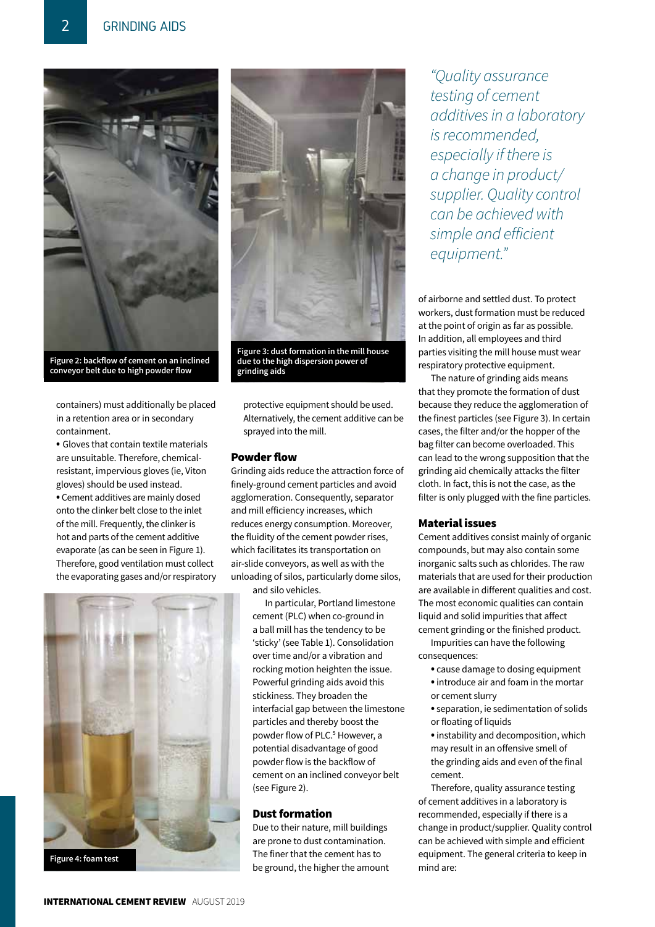

**Figure 2: backflow of cement on an inclined conveyor belt due to high powder flow**

containers) must additionally be placed in a retention area or in secondary containment.

• Gloves that contain textile materials are unsuitable. Therefore, chemicalresistant, impervious gloves (ie, Viton gloves) should be used instead. • Cement additives are mainly dosed onto the clinker belt close to the inlet of the mill. Frequently, the clinker is hot and parts of the cement additive evaporate (as can be seen in Figure 1). Therefore, good ventilation must collect the evaporating gases and/or respiratory





**Figure 3: dust formation in the mill house due to the high dispersion power of grinding aids**

protective equipment should be used. Alternatively, the cement additive can be sprayed into the mill.

#### Powder flow

Grinding aids reduce the attraction force of finely-ground cement particles and avoid agglomeration. Consequently, separator and mill efficiency increases, which reduces energy consumption. Moreover, the fluidity of the cement powder rises, which facilitates its transportation on air-slide conveyors, as well as with the unloading of silos, particularly dome silos, and silo vehicles.

> In particular, Portland limestone cement (PLC) when co-ground in a ball mill has the tendency to be 'sticky' (see Table 1). Consolidation over time and/or a vibration and rocking motion heighten the issue. Powerful grinding aids avoid this stickiness. They broaden the interfacial gap between the limestone particles and thereby boost the powder flow of PLC.<sup>5</sup> However, a potential disadvantage of good powder flow is the backflow of cement on an inclined conveyor belt (see Figure 2).

# Dust formation

Due to their nature, mill buildings are prone to dust contamination. The finer that the cement has to be ground, the higher the amount

*"Quality assurance testing of cement additives in a laboratory is recommended, especially if there is a change in product/ supplier. Quality control can be achieved with simple and efficient equipment."*

of airborne and settled dust. To protect workers, dust formation must be reduced at the point of origin as far as possible. In addition, all employees and third parties visiting the mill house must wear respiratory protective equipment.

The nature of grinding aids means that they promote the formation of dust because they reduce the agglomeration of the finest particles (see Figure 3). In certain cases, the filter and/or the hopper of the bag filter can become overloaded. This can lead to the wrong supposition that the grinding aid chemically attacks the filter cloth. In fact, this is not the case, as the filter is only plugged with the fine particles.

### Material issues

Cement additives consist mainly of organic compounds, but may also contain some inorganic salts such as chlorides. The raw materials that are used for their production are available in different qualities and cost. The most economic qualities can contain liquid and solid impurities that affect cement grinding or the finished product.

Impurities can have the following consequences:

- cause damage to dosing equipment
- introduce air and foam in the mortar or cement slurry
- separation, ie sedimentation of solids or floating of liquids

• instability and decomposition, which may result in an offensive smell of the grinding aids and even of the final cement.

Therefore, quality assurance testing of cement additives in a laboratory is recommended, especially if there is a change in product/supplier. Quality control can be achieved with simple and efficient equipment. The general criteria to keep in mind are: